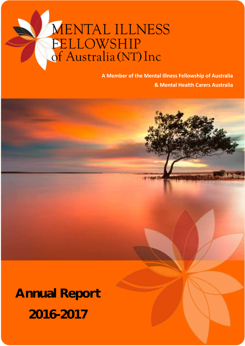# **MENTAL ILLNESS FELLOWSHIP**<br>of Australia (NT) Inc

**A Member of the Mental Illness Fellowship of Australia & Mental Health Carers Australia**

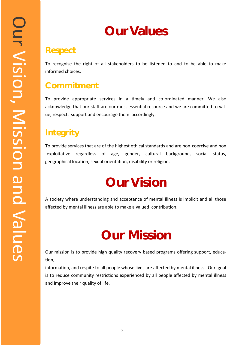## **Our Values**

### **Respect**

To recognise the right of all stakeholders to be listened to and to be able to make informed choices.

## **Commitment**

To provide appropriate services in a timely and co-ordinated manner. We also acknowledge that our staff are our most essential resource and we are committed to value, respect, support and encourage them accordingly.

## **Integrity**

To provide services that are of the highest ethical standards and are non-coercive and non -exploitative regardless of age, gender, cultural background, social status, geographical location, sexual orientation, disability or religion.

## **Our Vision**

A society where understanding and acceptance of mental illness is implicit and all those affected by mental illness are able to make a valued contribution.

## **Our Mission**

Our mission is to provide high quality recovery-based programs offering support, education,

information, and respite to all people whose lives are affected by mental illness. Our goal is to reduce community restrictions experienced by all people affected by mental illness and improve their quality of life.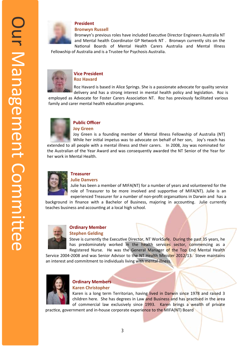

#### **President**

#### **Bronwyn Russell**

Bronwyn's previous roles have included Executive Director Engineers Australia NT and Mental health Coordinator GP Network NT . Bronwyn currently sits on the National Boards of Mental Health Carers Australia and Mental Illness

Fellowship of Australia and is a Trustee for Psychosis Australia.



#### **Vice President Roz Havard**

Roz Havard is based in Alice Springs. She is a passionate advocate for quality service delivery and has a strong interest in mental health policy and legislation. Roz is

employed as Advocate for Foster Carers Association NT. Roz has previously facilitated various family and carer mental health education programs.



#### **Public Officer**

**Joy Green**

Joy Green is a founding member of Mental Illness Fellowship of Australia (NT) While her initial impetus was to advocate on behalf of her son, Joy's reach has extended to all people with a mental illness and their carers. In 2008, Joy was nominated for the Australian of the Year Award and was consequently awarded the NT Senior of the Year for her work in Mental Health.



#### **Julie Danvers**

Julie has been a member of MIFA(NT) for a number of years and volunteered for the role of Treasurer to be more involved and supportive of MIFA(NT). Julie is an experienced Treasurer for a number of non-profit organsations in Darwin and has a

background in finance with a Bachelor of Business, majoring in accounting. Julie currently teaches business and accounting at a local high school.



#### **Ordinary Member Stephen Gelding**

Steve is currently the Executive Director, NT WorkSafe. During the past 35 years, he has predominately worked in the health services sector, commencing as a

Registered Nurse. He was the General Manager of the Top End Mental Health Service 2004-2008 and was Senior Advisor to the NT Health Minister 2012/13. Steve maintains an interest and commitment to individuals living with mental illness.



#### **Ordinary Members Karen Christopher**

Karen is a long term Territorian, having lived in Darwin since 1978 and raised 3 children here. She has degrees in Law and Business and has practised in the area of commercial law exclusively since 1993. Karen brings a wealth of private

practice, government and in-house corporate experience to the MIFA(NT) Board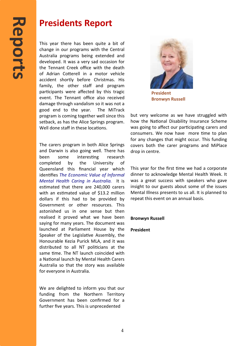### **Presidents Report**

This year there has been quite a bit of change in our programs with the Central Australia programs being extended and developed. It was a very sad occasion for the Tennant Creek office with the death of Adrian Cotterell in a motor vehicle accident shortly before Christmas. His family, the other staff and program participants were affected by this tragic event. The Tennant office also received damage through vandalism so it was not a good end to the year. The MiTrack program is coming together well since this setback, as has the Alice Springs program. Well done staff in these locations.

The carers program in both Alice Springs and Darwin is also going well. There has been some interesting research completed by the University of Queensland this financial year which identifies *The Economic Value of Informal Mental Health Caring in Australia.* It is estimated that there are 240,000 carers with an estimated value of \$13.2 million dollars if this had to be provided by Government or other resources. This astonished us in one sense but then realised it proved what we have been saying for many years. The document was launched at Parliament House by the Speaker of the Legislative Assembly, the Honourable Kezia Purick MLA, and it was distributed to all NT politicians at the same time. The NT launch coincided with a National launch by Mental Health Carers Australia so that the story was available for everyone in Australia.

We are delighted to inform you that our funding from the Northern Territory Government has been confirmed for a further five years. This is unprecedented



**President Bronwyn Russell**

but very welcome as we have struggled with how the National Disability Insurance Scheme was going to affect our participating carers and consumers. We now have more time to plan for any changes that might occur. This funding covers both the carer programs and MiPlace drop in centre.

This year for the first time we had a corporate dinner to acknowledge Mental Health Week. It was a great success with speakers who gave insight to our guests about some of the issues Mental Illness presents to us all. It is planned to repeat this event on an annual basis.

**Bronwyn Russell**

**President**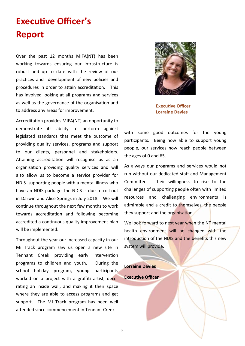## **Executive Officer's Report**

Over the past 12 months MIFA(NT) has been working towards ensuring our infrastructure is robust and up to date with the review of our practices and development of new policies and procedures in order to attain accreditation. This has involved looking at all programs and services as well as the governance of the organisation and to address any areas for improvement.

Accreditation provides MIFA(NT) an opportunity to demonstrate its ability to perform against legislated standards that meet the outcome of providing quality services, programs and support to our clients, personnel and stakeholders. Attaining accreditation will recognise us as an organisation providing quality services and will also allow us to become a service provider for NDIS supporting people with a mental illness who have an NDIS package The NDIS is due to roll out in Darwin and Alice Springs in July 2018. We will continue throughout the next few months to work towards accreditation and following becoming accredited a continuous quality improvement plan will be implemented.

Throughout the year our increased capacity in our Mi Track program saw us open a new site in Tennant Creek providing early intervention programs to children and youth. During the school holiday program, young participants worked on a project with a graffiti artist, decorating an inside wall, and making it their space where they are able to access programs and get support. The MI Track program has been well attended since commencement in Tennant Creek



**Executive Officer Lorraine Davies**

with some good outcomes for the young participants. Being now able to support young people, our services now reach people between the ages of 0 and 65.

As always our programs and services would not run without our dedicated staff and Management Committee. Their willingness to rise to the challenges of supporting people often with limited resources and challenging environments is admirable and a credit to themselves, the people they support and the organisation.

We look forward to next year when the NT mental health environment will be changed with the introduction of the NDIS and the benefits this new system will provide.

**Lorraine Davies Executive Officer**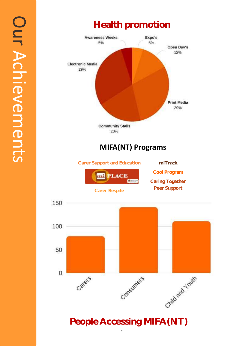

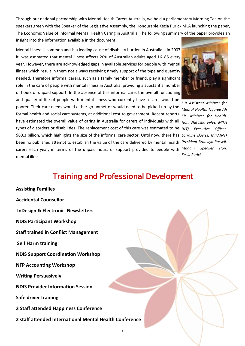Through our national partnership with Mental Health Carers Australia, we held a parliamentary Morning Tea on the speakers green with the Speaker of the Legislative Assembly, the Honourable Kezia Purick MLA launching the paper, The Economic Value of Informal Mental Health Caring in Australia. The following summary of the paper provides an insight into the information available in the document.

Mental illness is common and is a leading cause of disability burden in Australia – in 2007 it was estimated that mental illness affects 20% of Australian adults aged 16–85 every year. However, there are acknowledged gaps in available services for people with mental illness which result in them not always receiving timely support of the type and quantity needed. Therefore informal carers, such as a family member or friend, play a significant role in the care of people with mental illness in Australia, providing a substantial number of hours of unpaid support. In the absence of this informal care, the overall functioning and quality of life of people with mental illness who currently have a carer would be poorer. Their care needs would either go unmet or would need to be picked up by the formal health and social care systems, at additional cost to government. Recent reports *Kit, Minister for Health,*  have estimated the overall value of caring in Australia for carers of individuals with all *Hon. Natasha Fyles, MIFA*  types of disorders or disabilities. The replacement cost of this care was estimated to be *(NT) Executive Officer,*  \$60.3 billion, which highlights the size of the informal care sector. Until now, there has *Lorraine Davies, MIFA(NT)*  been no published attempt to establish the value of the care delivered by mental health *President Bronwyn Russell,*  carers each year, in terms of the unpaid hours of support provided to people with *Madam Speaker Hon.*  mental illness.



*L-R Assistant Minister for Mental Health, Ngaree Ah Kezia Purick* 

### **Training and Professional Development**

7

**Assisting Families Accidental Counsellor InDesign & Electronic Newsletters NDIS Participant Workshop Staff trained in Conflict Management Self Harm training NDIS Support Coordination Workshop NFP Accounting Workshop Writing Persuasively NDIS Provider Information Session Safe driver training 2 Staff attended Happiness Conference 2 staff attended International Mental Health Conference**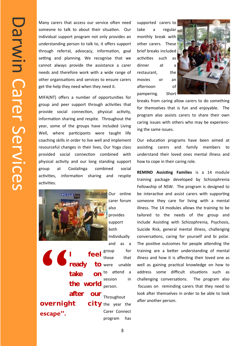Many carers that access our service often need someone to talk to about their situation. Our individual support program not only provides an understanding person to talk to, it offers support through referral, advocacy, information, goal setting and planning. We recognise that we cannot always provide the assistance a carer needs and therefore work with a wide range of other organisations and services to ensure carers get the help they need when they need it.

MIFA(NT) offers a number of opportunities for group and peer support through activities that provide social connection, physical activity, information sharing and respite. Throughout the year, some of the groups have included Living Well, where participants were taught life coaching skills in order to live well and implement resourceful changes in their lives, Our Yoga class provided social connection combined with physical activity and our long standing support group at Coolalinga combined social activities, information sharing and respite activities.



Our online carer forum also

provides support both Individually

**" I feel ready** take **the world after our overnight** 

**escape".** 

group for those that  $\overline{10}$  were unable to attend a session in person.

Throughout  $city$  the year the Carer Connect program has

supported carers to take a regular monthly break with other carers. These brief breaks included activities such as dinner at a restaurant, the movies or an afternoon of pampering. Short



breaks from caring allow carers to do something for themselves that is fun and enjoyable. The program also assists carers to share their own caring issues with others who may be experiencing the same issues.

Our education programs have been aimed at assisting carers and family members to understand their loved ones mental illness and how to cope in their caring role.

**REMIND Assisting Families** is a 14 module training package developed by Schizophrenia Fellowship of NSW. The program is designed to be interactive and assist carers with supporting someone they care for living with a mental illness. The 14 modules allows the training to be tailored to the needs of the group and include Assisting with Schizophrenia, Psychosis, Suicide Risk, general mental illness, challenging conversations, caring for yourself and bi polar. The positive outcomes for people attending the training are a better understanding of mental illness and how it is affecting their loved one as well as gaining practical knowledge on how to address some difficult situations such as challenging conversations. The program also focuses on reminding carers that they need to look after themselves in order to be able to look after another person.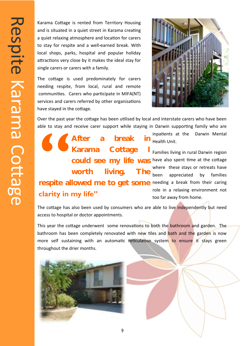Karama Cottage is rented from Territory Housing and is situated in a quiet street in Karama creating a quiet relaxing atmosphere and location for carers to stay for respite and a well-earned break. With local shops, parks, hospital and popular holiday attractions very close by it makes the ideal stay for single carers or carers with a family.

The cottage is used predominately for carers needing respite, from local, rural and remote communities. Carers who participate in MIFA(NT) services and carers referred by other organisations have stayed in the cottage.



Over the past year the cottage has been utilised by local and interstate carers who have been able to stay and receive carer support while staying in Darwin supporting family who are

could see my life was have also spent time at the cottage respite allowed me to get some needing a break from their caring **SECTED**<br>Tesnite al **After a break in Karama Cottage I worth living. The clarity in my life"**

inpatients at the Darwin Mental  $\overline{m}$  Health Unit.

> Families living in rural Darwin region where these stays or retreats have been appreciated by families role in a relaxing environment not too far away from home.

The cottage has also been used by consumers who are able to live independently but need access to hospital or doctor appointments.

This year the cottage underwent some renovations to both the bathroom and garden. The bathroom has been completely renovated with new tiles and bath and the garden is now more self sustaining with an automatic reticulation system to ensure it stays green throughout the drier months.

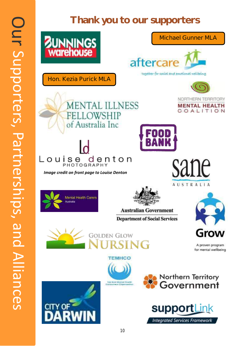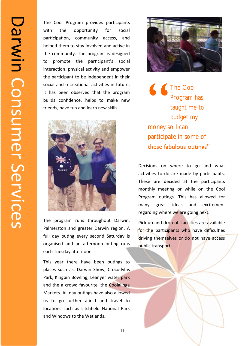The Cool Program provides participants with the opportunity for social participation, community access, and helped them to stay involved and active in the community. The program is designed to promote the participant's social interaction, physical activity and empower the participant to be independent in their social and recreational activities in future. It has been observed that the program builds confidence, helps to make new friends, have fun and learn new skills



The program runs throughout Darwin, Palmerston and greater Darwin region. A full day outing every second Saturday is organised and an afternoon outing runs each Tuesday afternoon.

This year there have been outings to places such as, Darwin Show, Crocodylus Park, Kingpin Bowling, Leanyer water park and the a crowd favourite, the Coolalinga Markets. All day outings have also allowed us to go further afield and travel to locations such as Litchfield National Park and Windows to the Wetlands.



 $\bigcup_{\text{money}}$ **The Cool** Program has taught me to budget my money so I can participate in some of these fabulous outings"

Decisions on where to go and what activities to do are made by participants. These are decided at the participants monthly meeting or while on the Cool Program outings. This has allowed for many great ideas and excitement regarding where we are going next.

Pick up and drop off facilities are available for the participants who have difficulties driving themselves or do not have access public transport.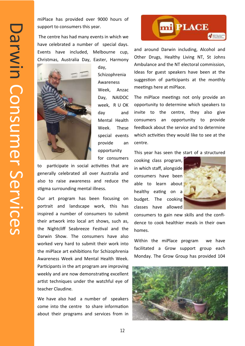miPlace has provided over 9000 hours of support to consumers this year.

The centre has had many events in which we have celebrated a number of special days. Events have included, Melbourne cup, Christmas, Australia Day, Easter, Harmony



day, Schizophrenia Awareness Week, Anzac Day, NAIDOC week, R U OK day and Mental Health Week. These special events provide an opportunity for consumers

to participate in social activities that are generally celebrated all over Australia and also to raise awareness and reduce the stigma surrounding mental illness.

Our art program has been focusing on portrait and landscape work, this has inspired a number of consumers to submit their artwork into local art shows, such as, the Nightcliff Seabreeze Festival and the Darwin Show. The consumers have also worked very hard to submit their work into the miPlace art exhibitions for Schizophrenia Awareness Week and Mental Health Week. Participants in the art program are improving weekly and are now demonstrating excellent artist techniques under the watchful eye of teacher Claudine.

We have also had a number of speakers come into the centre to share information about their programs and services from in



and around Darwin including, Alcohol and Other Drugs, Healthy Living NT, St Johns Ambulance and the NT electoral commission, Ideas for guest speakers have been at the suggestion of participants at the monthly meetings here at miPlace.

The miPlace meetings not only provide an opportunity to determine which speakers to invite to the centre, they also give consumers an opportunity to provide feedback about the service and to determine which activities they would like to see at the centre.

This year has seen the start of a structured

cooking class program, in which staff, alongside consumers have been able to learn about healthy eating on a budget. The cooking classes have allowed



consumers to gain new skills and the confidence to cook healthier meals in their own homes.

Within the miPlace program we have facilitated a Grow support group each Monday. The Grow Group has provided 104

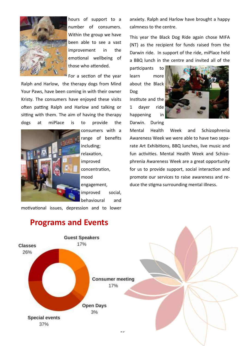

hours of support to a number of consumers. Within the group we have been able to see a vast improvement in the emotional wellbeing of those who attended.

For a section of the year

Ralph and Harlow, the therapy dogs from Mind Your Paws, have been coming in with their owner Kristy. The consumers have enjoyed these visits often patting Ralph and Harlow and talking or sitting with them. The aim of having the therapy dogs at miPlace is to provide the



consumers with a range of benefits including; relaxation, improved concentration, mood engagement, improved social, behavioural and

motivational issues, depression and to lower

anxiety. Ralph and Harlow have brought a happy calmness to the centre.

This year the Black Dog Ride again chose MIFA (NT) as the recipient for funds raised from the Darwin ride. In support of the ride, miPlace held a BBQ lunch in the centre and invited all of the

participants to learn more about the Black Dog Institute and the 1 dayer ride happening in

Darwin. During



Mental Health Week and Schizophrenia Awareness Week we were able to have two separate Art Exhibitions, BBQ lunches, live music and fun activities. Mental Health Week and Schizophrenia Awareness Week are a great opportunity for us to provide support, social interaction and promote our services to raise awareness and reduce the stigma surrounding mental illness.



### **Programs and Events**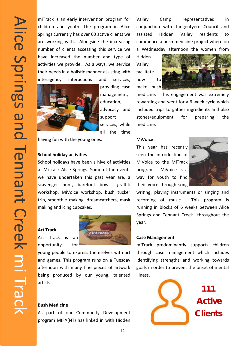miTrack is an early intervention program for children and youth. The program in Alice Springs currently has over 60 active clients we are working with. Alongside the increasing number of clients accessing this service we have increased the number and type of activities we provide. As always, we service their needs in a holistic manner assisting with interagency interactions and services,



providing case management, education, advocacy and support services, while all the time

having fun with the young ones.

#### **School holiday activities**

we have undertaken this past year are, a way for youth to find School holidays have been a hive of activities at MiTrack Alice Springs. Some of the events scavenger hunt, barefoot bowls, graffiti workshop, MiVoice workshop, bush tucker trip, smoothie making, dreamcatchers, mask making and icing cupcakes.

#### **Art Track**

Art Track is an opportunity for



young people to express themselves with art and games. This program runs on a Tuesday afternoon with many fine pieces of artwork being produced by our young, talented artists.

#### **Bush Medicine**

As part of our Community Development program MIFA(NT) has linked in with Hidden

Valley Camp representatives in conjunction with Tangentyere Council and assisted Hidden Valley residents to commence a bush medicine project where on a Wednesday afternoon the women from

Hidden Valley facilitate how to make bush



medicine. This engagement was extremely rewarding and went for a 6 week cycle which included trips to gather ingredients and also stones/equipment for preparing the medicine.

#### **MiVoice**

This year has recently seen the introduction of MiVoice to the MiTrack program. MiVoice is a way for youth to find their voice through song



writing, playing instruments or singing and recording of music. This program is running in blocks of 6 weeks between Alice Springs and Tennant Creek throughout the year.

#### **Case Management**

miTrack predominantly supports children through case management which includes identifying strengths and working towards goals in order to prevent the onset of mental illness.

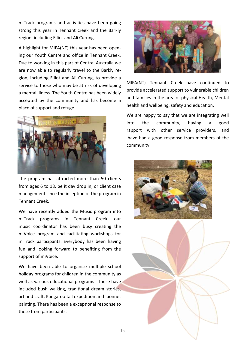miTrack programs and activities have been going strong this year in Tennant creek and the Barkly region, including Elliot and Ali Curung.

A highlight for MIFA(NT) this year has been opening our Youth Centre and office in Tennant Creek. Due to working in this part of Central Australia we are now able to regularly travel to the Barkly region, including Elliot and Ali Curung, to provide a service to those who may be at risk of developing a mental illness. The Youth Centre has been widely accepted by the community and has become a place of support and refuge.



The program has attracted more than 50 clients from ages 6 to 18, be it day drop in, or client case management since the inception of the program in Tennant Creek.

We have recently added the Music program into miTrack programs in Tennant Creek, our music coordinator has been busy creating the miVoice program and facilitating workshops for miTrack participants. Everybody has been having fun and looking forward to benefiting from the support of miVoice.

We have been able to organise multiple school holiday programs for children in the community as well as various educational programs . These have included bush walking, traditional dream stories, art and craft, Kangaroo tail expedition and bonnet painting. There has been a exceptional response to these from participants.



MIFA(NT) Tennant Creek have continued to provide accelerated support to vulnerable children and families in the area of physical Health, Mental health and wellbeing, safety and education.

We are happy to say that we are integrating well into the community, having a good rapport with other service providers, and have had a good response from members of the community.



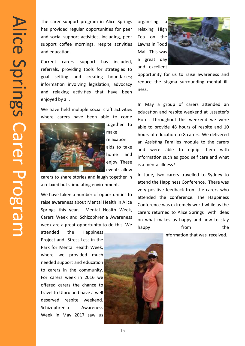The carer support program in Alice Springs has provided regular opportunities for peer and social support activities, including, peer support coffee mornings, respite activities and education.

Current carers support has included, referrals, providing tools for strategies to goal setting and creating boundaries; information involving legislation, advocacy and relaxing activities that have been enjoyed by all.

We have held multiple social craft activities where carers have been able to come



together to make relaxation aids to take home and enjoy. These events allow

carers to share stories and laugh together in a relaxed but stimulating environment.

We have taken a number of opportunities to raise awareness about Mental Health in Alice Springs this year. Mental Health Week, Carers Week and Schizophrenia Awareness week are a great opportunity to do this. We

attended the Happiness Project and Stress Less in the Park for Mental Health Week, where we provided much needed support and education to carers in the community. For carers week in 2016 we offered carers the chance to travel to Uluru and have a well deserved respite weekend. Schizophrenia Awareness Week in May 2017 saw us

organising relaxing High Tea on the Lawns in Todd Mall. This was a great day and excellent



opportunity for us to raise awareness and reduce the stigma surrounding mental illness.

In May a group of carers attended an education and respite weekend at Lasseter's Hotel. Throughout this weekend we were able to provide 48 hours of respite and 10 hours of education to 8 carers. We delivered an Assisting Families module to the carers and were able to equip them with information such as good self care and what is a mental illness?

In June, two carers travelled to Sydney to attend the Happiness Conference. There was very positive feedback from the carers who attended the conference. The Happiness Conference was extremely worthwhile as the carers returned to Alice Springs with ideas on what makes us happy and how to stay happy from the

information that was received.

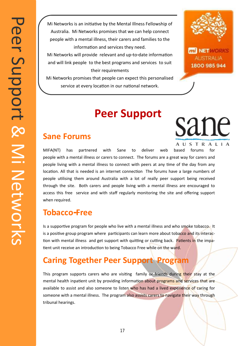Mi Networks is an initiative by the Mental Illness Fellowship of Australia. Mi Networks promises that we can help connect people with a mental illness, their carers and families to the information and services they need.

Mi Networks will provide relevant and up-to-date information and will link people to the best programs and services to suit their requirements

Mi Networks promises that people can expect this personalised service at every location in our national network.

## **Peer Support**



**mi NETWORKS AUSTRALIA** 1800 985 944

sane

AUSTRALIA

### **Sane Forums**

MIFA(NT) has partnered with Sane to deliver web based forums for people with a mental illness or carers to connect. The forums are a great way for carers and people living with a mental illness to connect with peers at any time of the day from any location. All that is needed is an internet connection The forums have a large numbers of people utilising them around Australia with a lot of really peer support being received through the site. Both carers and people living with a mental illness are encouraged to access this free service and with staff regularly monitoring the site and offering support when required.

### **Tobacco-Free**

Is a supportive program for people who live with a mental illness and who smoke tobacco. It is a positive group program where participants can learn more about tobacco and its interaction with mental illness and get support with quitting or cutting back. Patients in the impatient unit receive an introduction to being Tobacco Free while on the ward.

## **Caring Together Peer Support Program**

This program supports carers who are visiting family or friends during their stay at the mental health inpatient unit by providing information about programs and services that are available to assist and also someone to listen who has had a lived experience of caring for someone with a mental illness. The program also assists carers to navigate their way through tribunal hearings.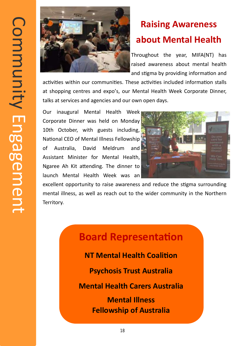

## **Raising Awareness about Mental Health**

Throughout the year, MIFA(NT) has raised awareness about mental health and stigma by providing information and

activities within our communities. These activities included information stalls at shopping centres and expo's, our Mental Health Week Corporate Dinner, talks at services and agencies and our own open days.

Our inaugural Mental Health Week Corporate Dinner was held on Monday 10th October, with guests including, National CEO of Mental Illness Fellowship of Australia, David Meldrum and Assistant Minister for Mental Health, Ngaree Ah Kit attending. The dinner to launch Mental Health Week was an



excellent opportunity to raise awareness and reduce the stigma surrounding mental illness, as well as reach out to the wider community in the Northern Territory.

## **Board Representation**

**NT Mental Health Coalition**

**Psychosis Trust Australia**

**Mental Health Carers Australia**

**Mental Illness Fellowship of Australia**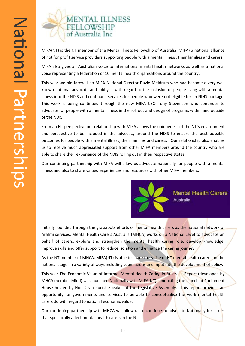## **MENTAL ILLNESS** FELLOWSHIP<br>of Australia Inc

MIFA(NT) is the NT member of the Mental Illness Fellowship of Australia (MIFA) a national alliance of not for profit service providers supporting people with a mental illness, their families and carers.

MIFA also gives an Australian voice to international mental health networks as well as a national voice representing a federation of 10 mental health organisations around the country.

This year we bid farewell to MIFA National Director David Meldrum who had become a very well known national advocate and lobbyist with regard to the inclusion of people living with a mental illness into the NDIS and continued services for people who were not eligible for an NDIS package. This work is being continued through the new MIFA CEO Tony Stevenson who continues to advocate for people with a mental illness in the roll out and design of programs within and outside of the NDIS.

From an NT perspective our relationship with MIFA allows the uniqueness of the NT's environment and perspective to be included in the advocacy around the NDIS to ensure the best possible outcomes for people with a mental illness, their families and carers. Our relationship also enables us to receive much appreciated support from other MIFA members around the country who are able to share their experience of the NDIS rolling out in their respective states.

Our continuing partnership with MIFA will allow us advocate nationally for people with a mental illness and also to share valued experiences and resources with other MIFA members.



Initially founded through the grassroots efforts of mental health carers as the national network of Arafmi services, Mental Health Carers Australia (MHCA) works on a National Level to advocate on behalf of carers, explore and strengthen the mental health caring role, develop knowledge, improve skills and offer support to reduce isolation and enhance the caring journey.

As the NT member of MHCA, MIFA(NT) is able to share the voice of NT mental health carers on the national stage in a variety of ways including submissions and input into the development of policy.

This year The Economic Value of Informal Mental Health Caring in Australia Report (developed by MHCA member Mind) was launched Nationally with MIFA(NT) conducting the launch at Parliament House hosted by Hon Kezia Purick Speaker of the Legislative Assembly. This report provides an opportunity for governments and services to be able to conceptualise the work mental health carers do with regard to national economic value.

Our continuing partnership with MHCA will allow us to continue to advocate Nationally for issues that specifically affect mental health carers in the NT.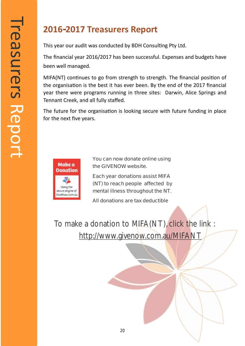## **2016-2017 Treasurers Report**

This year our audit was conducted by BDH Consulting Pty Ltd.

The financial year 2016/2017 has been successful. Expenses and budgets have been well managed.

MIFA(NT) continues to go from strength to strength. The financial position of the organisation is the best it has ever been. By the end of the 2017 financial year there were programs running in three sites: Darwin, Alice Springs and Tennant Creek, and all fully staffed.

The future for the organisation is looking secure with future funding in place for the next five years.



**You can now donate online using the GIVENOW website.**

**Each year donations assist MIFA (NT) to reach people affected by mental illness throughout the NT.**

**All donations are tax deductible** 

To make a donation to MIFA(NT), click the link : [http://www.givenow.com.au/MIFANT](http://www.givenow.com.au/mifant)